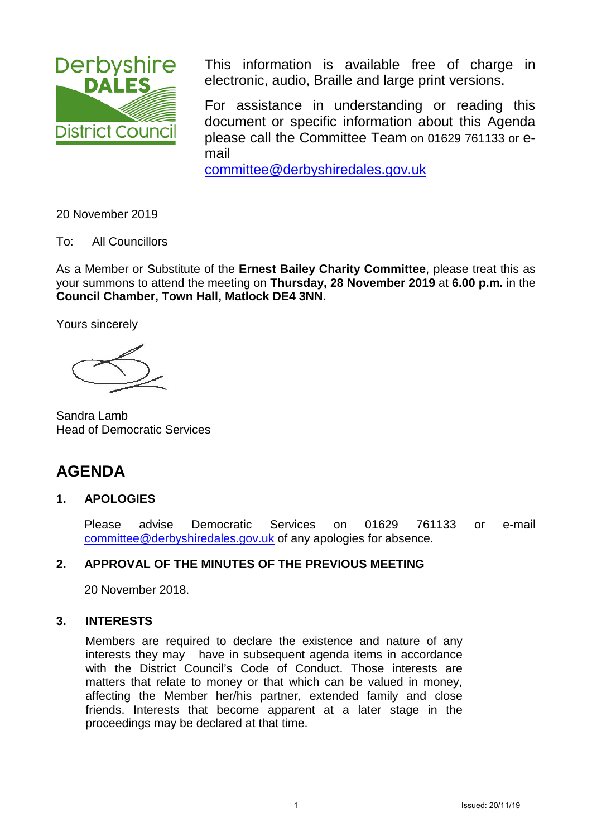

This information is available free of charge in electronic, audio, Braille and large print versions.

For assistance in understanding or reading this document or specific information about this Agenda please call the Committee Team on 01629 761133 or email

[committee@derbyshiredales.gov.uk](mailto:committee@derbyshiredales.gov.uk) 

20 November 2019

To: All Councillors

As a Member or Substitute of the **Ernest Bailey Charity Committee**, please treat this as your summons to attend the meeting on **Thursday, 28 November 2019** at **6.00 p.m.** in the **Council Chamber, Town Hall, Matlock DE4 3NN.** 

Yours sincerely

Sandra Lamb Head of Democratic Services

# **AGENDA**

## **1. APOLOGIES**

Please advise Democratic Services on 01629 761133 or e-mail [committee@derbyshiredales.gov.uk](mailto:committee@derbyshiredales.gov.uk) of any apologies for absence.

## **2. APPROVAL OF THE MINUTES OF THE PREVIOUS MEETING**

20 November 2018.

## **3. INTERESTS**

Members are required to declare the existence and nature of any interests they may have in subsequent agenda items in accordance with the District Council's Code of Conduct. Those interests are matters that relate to money or that which can be valued in money, affecting the Member her/his partner, extended family and close friends. Interests that become apparent at a later stage in the proceedings may be declared at that time.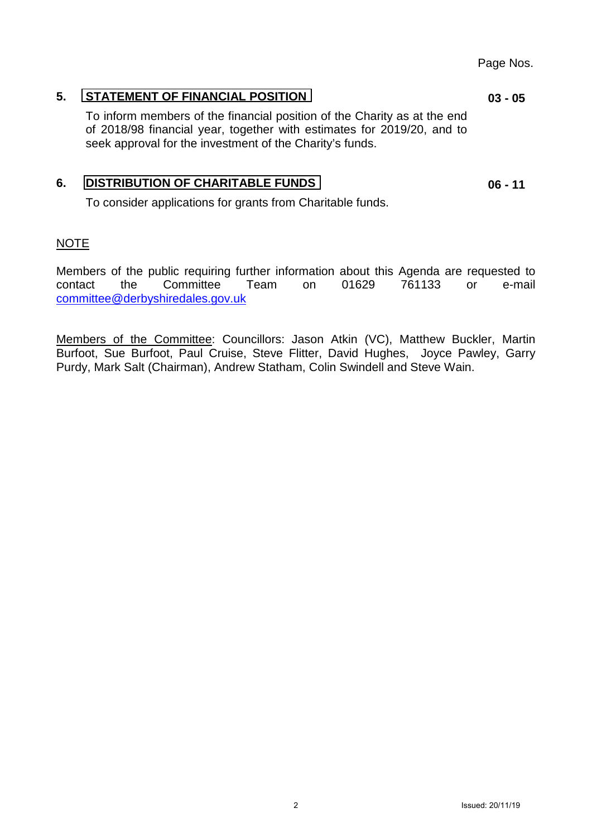## <span id="page-1-0"></span>**5. [STATEMENT OF FINANCIAL POSITION](#page-2-0)**

To inform members of the financial position of the Charity as at the end of 2018/98 financial year, together with estimates for 2019/20, and to seek approval for the investment of the Charity's funds.

## **6. [DISTRIBUTION OF CHARITABLE FUNDS](#page-5-0)**

To consider applications for grants from Charitable funds.

## NOTE

Members of the public requiring further information about this Agenda are requested to contact the Committee Team on 01629 761133 or e-mail [committee@derbyshiredales.gov.uk](mailto:committee@derbyshiredales.gov.uk)

Members of the Committee: Councillors: Jason Atkin (VC), Matthew Buckler, Martin Burfoot, Sue Burfoot, Paul Cruise, Steve Flitter, David Hughes, Joyce Pawley, Garry Purdy, Mark Salt (Chairman), Andrew Statham, Colin Swindell and Steve Wain.

## Page Nos.

**03 - 05** 

**06 - 11**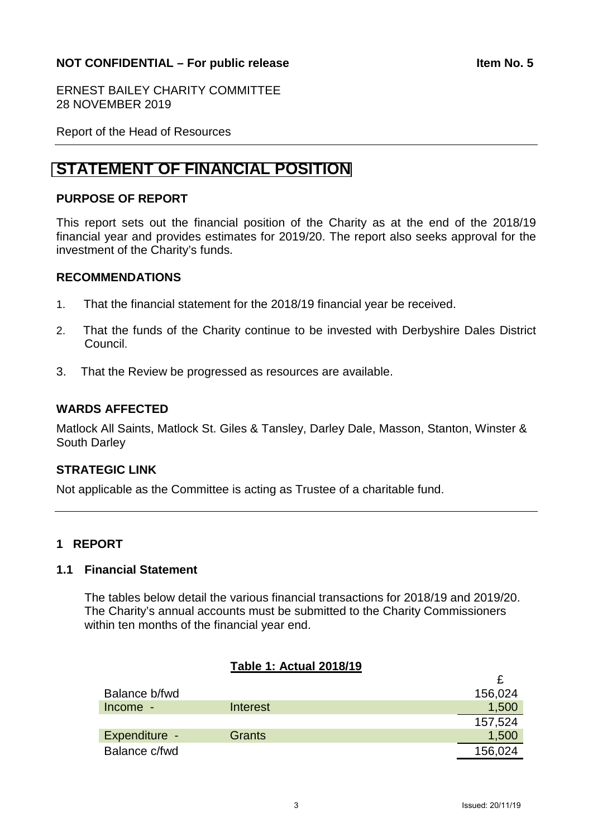## <span id="page-2-0"></span>**NOT CONFIDENTIAL – For public release <b>Internal CONFIDENTIAL** – For public release

ERNEST BAILEY CHARITY COMMITTEE 28 NOVEMBER 2019

Report of the Head of Resources

# **[STATEMENT OF FINANCIAL POSITION](#page-1-0)**

## **PURPOSE OF REPORT**

This report sets out the financial position of the Charity as at the end of the 2018/19 financial year and provides estimates for 2019/20. The report also seeks approval for the investment of the Charity's funds.

#### **RECOMMENDATIONS**

- 1. That the financial statement for the 2018/19 financial year be received.
- 2. That the funds of the Charity continue to be invested with Derbyshire Dales District Council.
- 3. That the Review be progressed as resources are available.

## **WARDS AFFECTED**

Matlock All Saints, Matlock St. Giles & Tansley, Darley Dale, Masson, Stanton, Winster & South Darley

#### **STRATEGIC LINK**

Not applicable as the Committee is acting as Trustee of a charitable fund.

## **1 REPORT**

#### **1.1 Financial Statement**

The tables below detail the various financial transactions for 2018/19 and 2019/20. The Charity's annual accounts must be submitted to the Charity Commissioners within ten months of the financial year end.

## **Table 1: Actual 2018/19**

| Balance b/fwd |               | 156,024 |
|---------------|---------------|---------|
| Income -      | Interest      | 1,500   |
|               |               | 157,524 |
| Expenditure - | <b>Grants</b> | 1,500   |
| Balance c/fwd |               | 156,024 |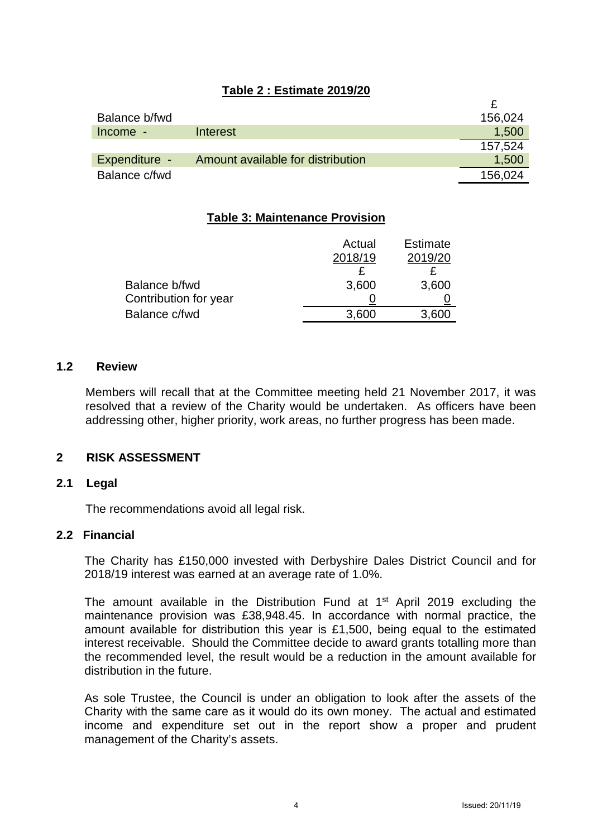|  | Table 2 : Estimate 2019/20 |  |
|--|----------------------------|--|
|  |                            |  |

| Balance b/fwd |                                   | 156,024 |
|---------------|-----------------------------------|---------|
| Income -      | Interest                          | 1,500   |
|               |                                   | 157.524 |
| Expenditure - | Amount available for distribution | 1,500   |
| Balance c/fwd |                                   | 156,024 |

## **Table 3: Maintenance Provision**

|                       | Actual  | <b>Estimate</b> |
|-----------------------|---------|-----------------|
|                       | 2018/19 | 2019/20         |
|                       |         |                 |
| Balance b/fwd         | 3,600   | 3,600           |
| Contribution for year |         |                 |
| Balance c/fwd         | 3,600   | 3,600           |

#### **1.2 Review**

Members will recall that at the Committee meeting held 21 November 2017, it was resolved that a review of the Charity would be undertaken. As officers have been addressing other, higher priority, work areas, no further progress has been made.

## **2 RISK ASSESSMENT**

#### **2.1 Legal**

The recommendations avoid all legal risk.

#### **2.2 Financial**

The Charity has £150,000 invested with Derbyshire Dales District Council and for 2018/19 interest was earned at an average rate of 1.0%.

The amount available in the Distribution Fund at  $1<sup>st</sup>$  April 2019 excluding the maintenance provision was £38,948.45. In accordance with normal practice, the amount available for distribution this year is £1,500, being equal to the estimated interest receivable. Should the Committee decide to award grants totalling more than the recommended level, the result would be a reduction in the amount available for distribution in the future.

As sole Trustee, the Council is under an obligation to look after the assets of the Charity with the same care as it would do its own money. The actual and estimated income and expenditure set out in the report show a proper and prudent management of the Charity's assets.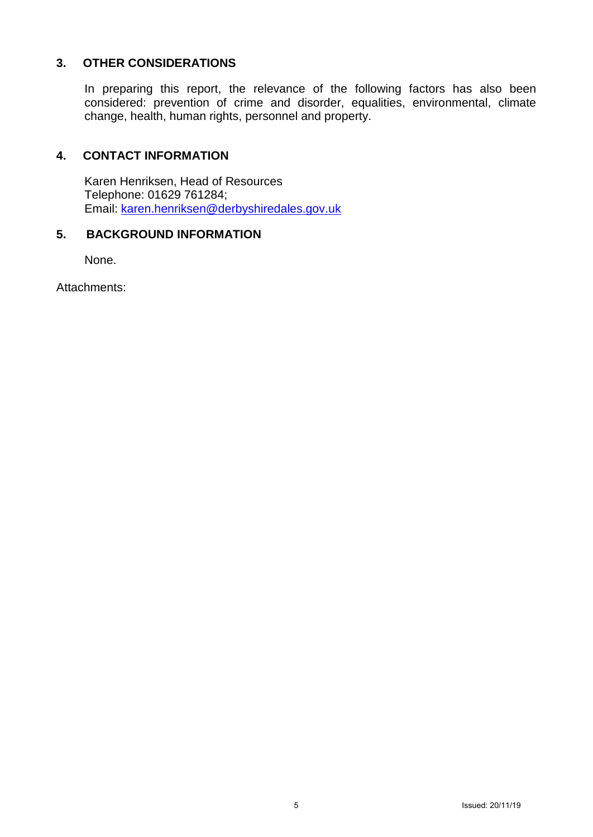## **3. OTHER CONSIDERATIONS**

In preparing this report, the relevance of the following factors has also been considered: prevention of crime and disorder, equalities, environmental, climate change, health, human rights, personnel and property.

## **4. CONTACT INFORMATION**

Karen Henriksen, Head of Resources Telephone: 01629 761284; Email: [karen.henriksen@derbyshiredales.gov.uk](mailto:karen.henriksen@derbyshiredales.gov.uk)

## **5. BACKGROUND INFORMATION**

None.

Attachments: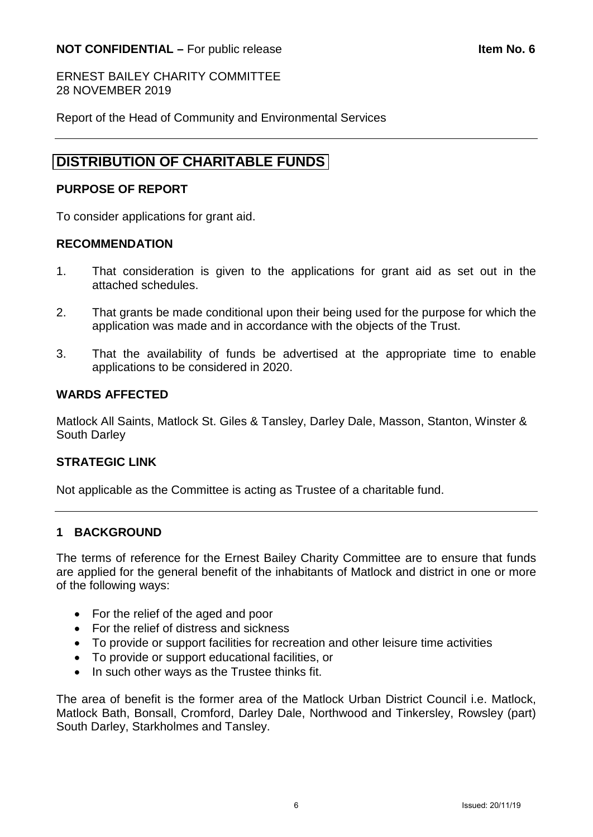<span id="page-5-0"></span>ERNEST BAILEY CHARITY COMMITTEE 28 NOVEMBER 2019

Report of the Head of Community and Environmental Services

# **[DISTRIBUTION OF CHARITABLE FUNDS](#page-1-0)**

## **PURPOSE OF REPORT**

To consider applications for grant aid.

## **RECOMMENDATION**

- 1. That consideration is given to the applications for grant aid as set out in the attached schedules.
- 2. That grants be made conditional upon their being used for the purpose for which the application was made and in accordance with the objects of the Trust.
- 3. That the availability of funds be advertised at the appropriate time to enable applications to be considered in 2020.

## **WARDS AFFECTED**

Matlock All Saints, Matlock St. Giles & Tansley, Darley Dale, Masson, Stanton, Winster & South Darley

## **STRATEGIC LINK**

Not applicable as the Committee is acting as Trustee of a charitable fund.

## **1 BACKGROUND**

The terms of reference for the Ernest Bailey Charity Committee are to ensure that funds are applied for the general benefit of the inhabitants of Matlock and district in one or more of the following ways:

- For the relief of the aged and poor
- For the relief of distress and sickness
- To provide or support facilities for recreation and other leisure time activities
- To provide or support educational facilities, or
- In such other ways as the Trustee thinks fit.

The area of benefit is the former area of the Matlock Urban District Council i.e. Matlock, Matlock Bath, Bonsall, Cromford, Darley Dale, Northwood and Tinkersley, Rowsley (part) South Darley, Starkholmes and Tansley.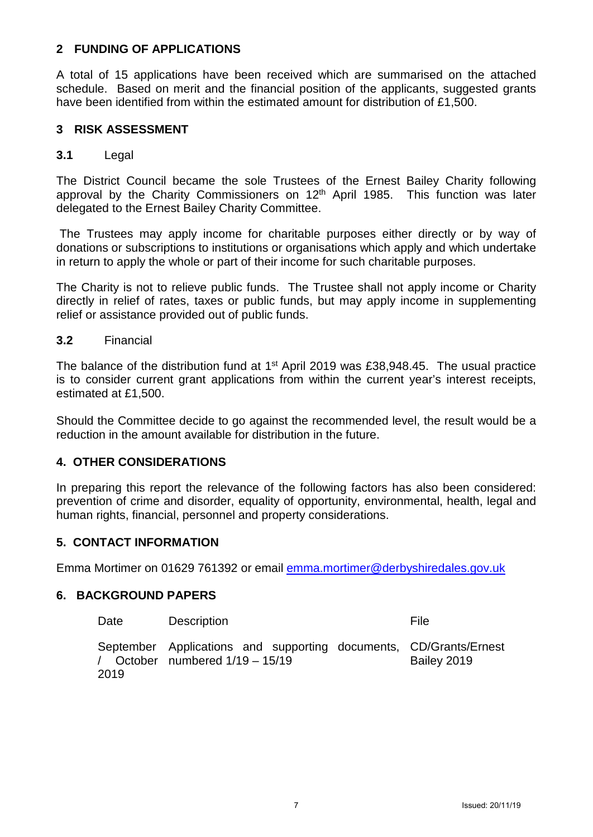## **2 FUNDING OF APPLICATIONS**

A total of 15 applications have been received which are summarised on the attached schedule. Based on merit and the financial position of the applicants, suggested grants have been identified from within the estimated amount for distribution of £1,500.

#### **3 RISK ASSESSMENT**

#### **3.1** Legal

The District Council became the sole Trustees of the Ernest Bailey Charity following approval by the Charity Commissioners on  $12<sup>th</sup>$  April 1985. This function was later delegated to the Ernest Bailey Charity Committee.

The Trustees may apply income for charitable purposes either directly or by way of donations or subscriptions to institutions or organisations which apply and which undertake in return to apply the whole or part of their income for such charitable purposes.

The Charity is not to relieve public funds. The Trustee shall not apply income or Charity directly in relief of rates, taxes or public funds, but may apply income in supplementing relief or assistance provided out of public funds.

#### **3.2** Financial

The balance of the distribution fund at 1<sup>st</sup> April 2019 was £38,948,45. The usual practice is to consider current grant applications from within the current year's interest receipts, estimated at £1,500.

Should the Committee decide to go against the recommended level, the result would be a reduction in the amount available for distribution in the future.

## **4. OTHER CONSIDERATIONS**

In preparing this report the relevance of the following factors has also been considered: prevention of crime and disorder, equality of opportunity, environmental, health, legal and human rights, financial, personnel and property considerations.

## **5. CONTACT INFORMATION**

Emma Mortimer on 01629 761392 or email [emma.mortimer@derbyshiredales.gov.uk](mailto:emma.mortimer@derbyshiredales.gov.uk) 

#### **6. BACKGROUND PAPERS**

| Date | <b>Description</b>                                                                                                                 | File        |
|------|------------------------------------------------------------------------------------------------------------------------------------|-------------|
| 2019 | September Applications and supporting documents, CD/Grants/Ernest<br>$\frac{1}{2}$ October numbered $\frac{1}{19} - \frac{15}{19}$ | Bailey 2019 |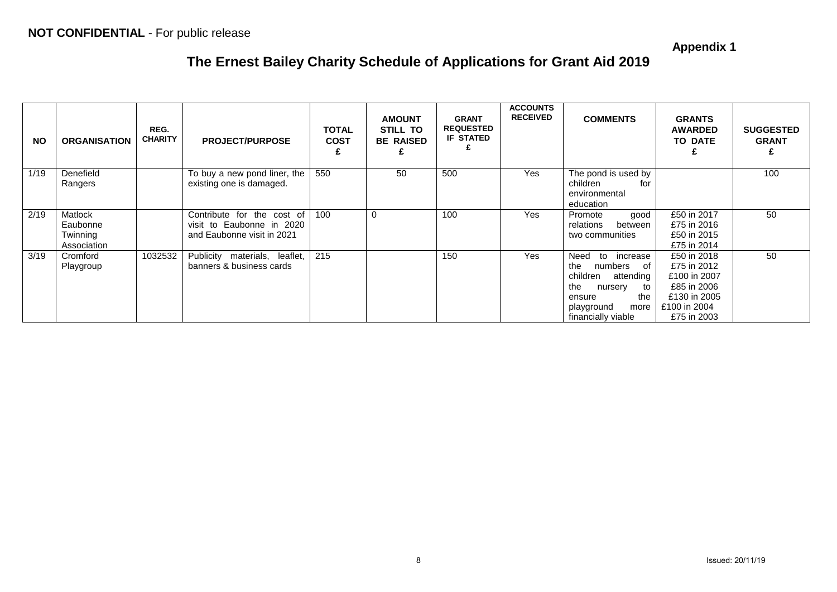**Appendix 1**

# **The Ernest Bailey Charity Schedule of Applications for Grant Aid 2019**

| <b>NO</b> | <b>ORGANISATION</b>                            | REG.<br><b>CHARITY</b> | <b>PROJECT/PURPOSE</b>                                                                | <b>TOTAL</b><br><b>COST</b> | <b>AMOUNT</b><br>STILL TO<br><b>BE RAISED</b> | <b>GRANT</b><br><b>REQUESTED</b><br><b>IF STATED</b> | <b>ACCOUNTS</b><br><b>RECEIVED</b> | <b>COMMENTS</b>                                                                                                                                              | <b>GRANTS</b><br><b>AWARDED</b><br><b>TO DATE</b>                                                        | <b>SUGGESTED</b><br><b>GRANT</b> |
|-----------|------------------------------------------------|------------------------|---------------------------------------------------------------------------------------|-----------------------------|-----------------------------------------------|------------------------------------------------------|------------------------------------|--------------------------------------------------------------------------------------------------------------------------------------------------------------|----------------------------------------------------------------------------------------------------------|----------------------------------|
| 1/19      | Denefield<br>Rangers                           |                        | To buy a new pond liner, the<br>existing one is damaged.                              | 550                         | 50                                            | 500                                                  | <b>Yes</b>                         | The pond is used by<br>children<br>for<br>environmental<br>education                                                                                         |                                                                                                          | 100                              |
| 2/19      | Matlock<br>Eaubonne<br>Twinning<br>Association |                        | Contribute for the cost of<br>visit to Eaubonne in 2020<br>and Eaubonne visit in 2021 | 100                         | $\Omega$                                      | 100                                                  | Yes                                | good<br>Promote<br>relations<br>between<br>two communities                                                                                                   | £50 in 2017<br>£75 in 2016<br>£50 in 2015<br>£75 in 2014                                                 | 50                               |
| 3/19      | Cromford<br>Playgroup                          | 1032532                | Publicity materials, leaflet,<br>banners & business cards                             | 215                         |                                               | 150                                                  | Yes                                | Need<br>increase<br>to<br>the<br>numbers<br>of<br>children<br>attending<br>the<br>to<br>nursery<br>the<br>ensure<br>playground<br>more<br>financially viable | £50 in 2018<br>£75 in 2012<br>£100 in 2007<br>£85 in 2006<br>£130 in 2005<br>£100 in 2004<br>£75 in 2003 | 50                               |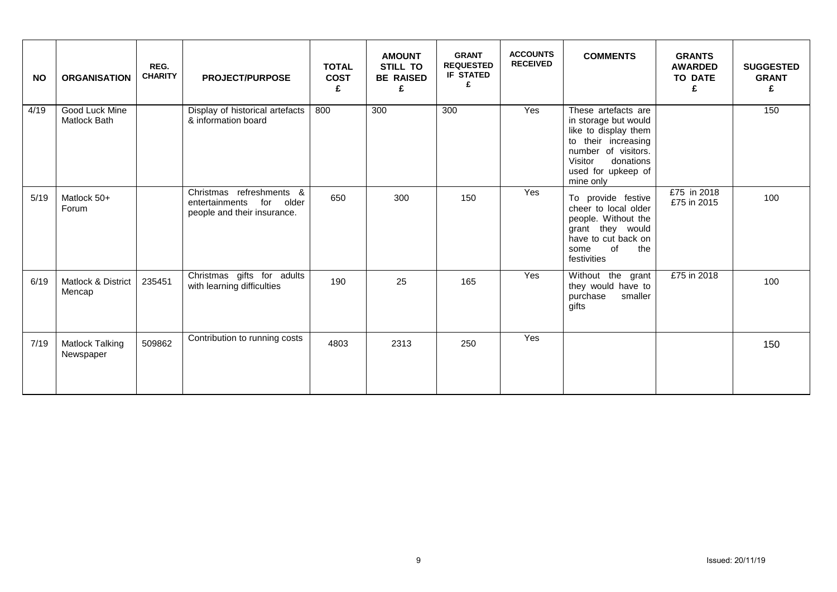| <b>NO</b> | <b>ORGANISATION</b>                     | REG.<br><b>CHARITY</b> | <b>PROJECT/PURPOSE</b>                                                              | <b>TOTAL</b><br><b>COST</b><br>£ | <b>AMOUNT</b><br><b>STILL TO</b><br><b>BE RAISED</b><br>£ | <b>GRANT</b><br><b>REQUESTED</b><br><b>IF STATED</b><br>£ | <b>ACCOUNTS</b><br><b>RECEIVED</b> | <b>COMMENTS</b>                                                                                                                                                              | <b>GRANTS</b><br><b>AWARDED</b><br><b>TO DATE</b><br>£ | <b>SUGGESTED</b><br><b>GRANT</b><br>£ |
|-----------|-----------------------------------------|------------------------|-------------------------------------------------------------------------------------|----------------------------------|-----------------------------------------------------------|-----------------------------------------------------------|------------------------------------|------------------------------------------------------------------------------------------------------------------------------------------------------------------------------|--------------------------------------------------------|---------------------------------------|
| 4/19      | Good Luck Mine<br><b>Matlock Bath</b>   |                        | Display of historical artefacts<br>& information board                              | 800                              | 300                                                       | 300                                                       | Yes                                | These artefacts are<br>in storage but would<br>like to display them<br>to their increasing<br>number of visitors.<br>Visitor<br>donations<br>used for upkeep of<br>mine only |                                                        | 150                                   |
| 5/19      | Matlock 50+<br>Forum                    |                        | Christmas refreshments &<br>entertainments for older<br>people and their insurance. | 650                              | 300                                                       | 150                                                       | Yes                                | To provide festive<br>cheer to local older<br>people. Without the<br>grant they would<br>have to cut back on<br>of<br>the<br>some<br>festivities                             | £75 in 2018<br>£75 in 2015                             | 100                                   |
| 6/19      | <b>Matlock &amp; District</b><br>Mencap | 235451                 | Christmas gifts for adults<br>with learning difficulties                            | 190                              | 25                                                        | 165                                                       | Yes                                | Without the grant<br>they would have to<br>purchase<br>smaller<br>gifts                                                                                                      | £75 in 2018                                            | 100                                   |
| 7/19      | <b>Matlock Talking</b><br>Newspaper     | 509862                 | Contribution to running costs                                                       | 4803                             | 2313                                                      | 250                                                       | Yes                                |                                                                                                                                                                              |                                                        | 150                                   |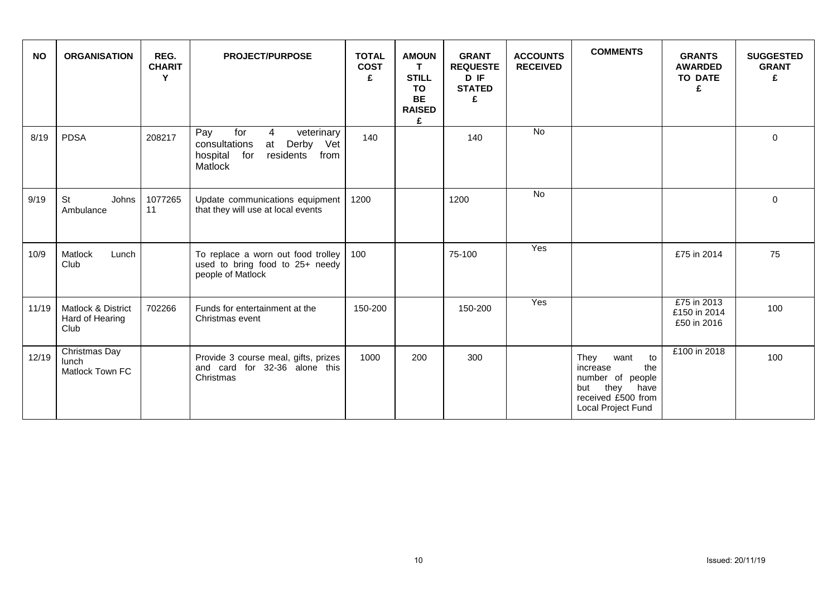| <b>NO</b> | <b>ORGANISATION</b>                           | REG.<br><b>CHARIT</b><br>Y | <b>PROJECT/PURPOSE</b>                                                                                            | <b>TOTAL</b><br><b>COST</b><br>£ | <b>AMOUN</b><br>T.<br><b>STILL</b><br><b>TO</b><br><b>BE</b><br><b>RAISED</b><br>£ | <b>GRANT</b><br><b>REQUESTE</b><br>D IF<br><b>STATED</b><br>£ | <b>ACCOUNTS</b><br><b>RECEIVED</b> | <b>COMMENTS</b>                                                                                                           | <b>GRANTS</b><br><b>AWARDED</b><br><b>TO DATE</b><br>£ | <b>SUGGESTED</b><br><b>GRANT</b><br>£ |
|-----------|-----------------------------------------------|----------------------------|-------------------------------------------------------------------------------------------------------------------|----------------------------------|------------------------------------------------------------------------------------|---------------------------------------------------------------|------------------------------------|---------------------------------------------------------------------------------------------------------------------------|--------------------------------------------------------|---------------------------------------|
| 8/19      | <b>PDSA</b>                                   | 208217                     | for<br>Pay<br>4<br>veterinary<br>consultations<br>Derby Vet<br>at<br>residents<br>from<br>hospital for<br>Matlock | 140                              |                                                                                    | 140                                                           | <b>No</b>                          |                                                                                                                           |                                                        | $\Omega$                              |
| 9/19      | <b>St</b><br>Johns<br>Ambulance               | 1077265<br>11              | Update communications equipment<br>that they will use at local events                                             | 1200                             |                                                                                    | 1200                                                          | No                                 |                                                                                                                           |                                                        | $\Omega$                              |
| 10/9      | Matlock<br>Lunch<br>Club                      |                            | To replace a worn out food trolley<br>used to bring food to 25+ needy<br>people of Matlock                        | 100                              |                                                                                    | 75-100                                                        | Yes                                |                                                                                                                           | £75 in 2014                                            | 75                                    |
| 11/19     | Matlock & District<br>Hard of Hearing<br>Club | 702266                     | Funds for entertainment at the<br>Christmas event                                                                 | 150-200                          |                                                                                    | 150-200                                                       | Yes                                |                                                                                                                           | £75 in 2013<br>£150 in 2014<br>£50 in 2016             | 100                                   |
| 12/19     | Christmas Day<br>lunch<br>Matlock Town FC     |                            | Provide 3 course meal, gifts, prizes<br>and card for 32-36 alone this<br>Christmas                                | 1000                             | 200                                                                                | 300                                                           |                                    | They<br>want<br>to<br>increase<br>the<br>number of people<br>they have<br>but<br>received £500 from<br>Local Project Fund | £100 in 2018                                           | 100                                   |